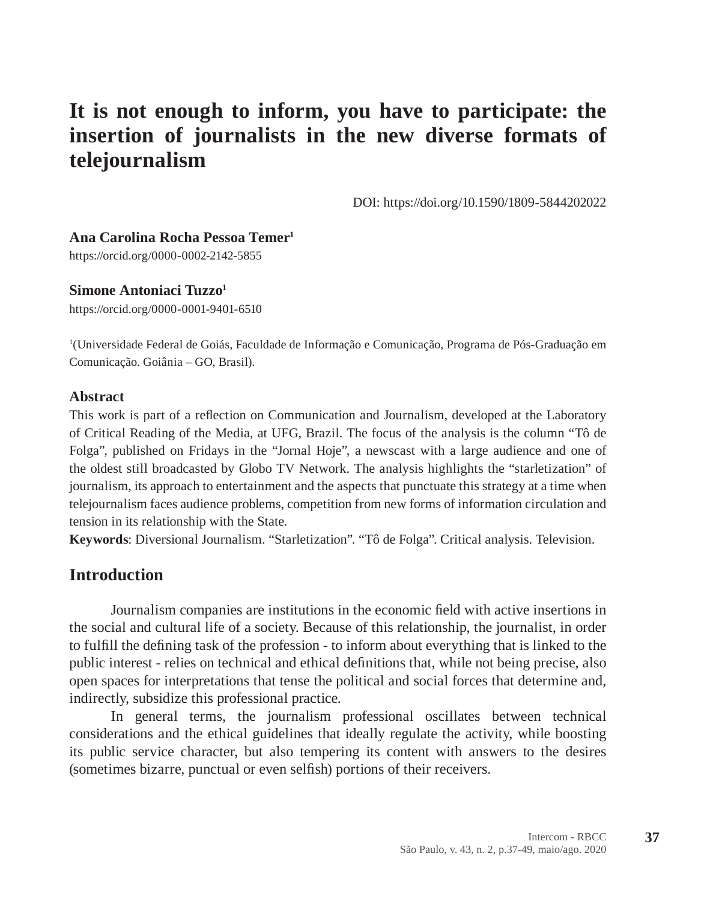# **It is not enough to inform, you have to participate: the insertion of journalists in the new diverse formats of telejournalism**

DOI: https://doi.org/10.1590/1809-5844202022

#### **Ana Carolina Rocha Pessoa Temer1**

https://orcid.org/0000-0002-2142-5855

### **Simone Antoniaci Tuzzo1**

https://orcid.org/0000-0001-9401-6510

1 (Universidade Federal de Goiás, Faculdade de Informação e Comunicação, Programa de Pós-Graduação em Comunicação. Goiânia – GO, Brasil).

### **Abstract**

This work is part of a reflection on Communication and Journalism, developed at the Laboratory of Critical Reading of the Media, at UFG, Brazil. The focus of the analysis is the column "Tô de Folga", published on Fridays in the "Jornal Hoje", a newscast with a large audience and one of the oldest still broadcasted by Globo TV Network. The analysis highlights the "starletization" of journalism, its approach to entertainment and the aspects that punctuate this strategy at a time when telejournalism faces audience problems, competition from new forms of information circulation and tension in its relationship with the State.

**Keywords**: Diversional Journalism. "Starletization". "Tô de Folga". Critical analysis. Television.

# **Introduction**

Journalism companies are institutions in the economic field with active insertions in the social and cultural life of a society. Because of this relationship, the journalist, in order to fulfill the defining task of the profession - to inform about everything that is linked to the public interest - relies on technical and ethical definitions that, while not being precise, also open spaces for interpretations that tense the political and social forces that determine and, indirectly, subsidize this professional practice.

In general terms, the journalism professional oscillates between technical considerations and the ethical guidelines that ideally regulate the activity, while boosting its public service character, but also tempering its content with answers to the desires (sometimes bizarre, punctual or even selfish) portions of their receivers.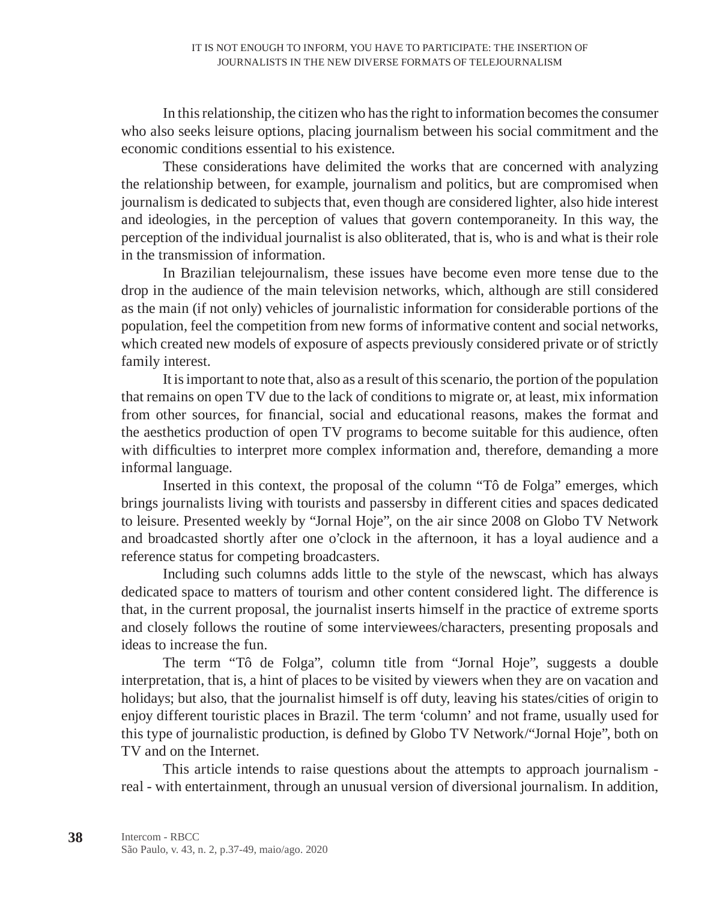In this relationship, the citizen who has the right to information becomes the consumer who also seeks leisure options, placing journalism between his social commitment and the economic conditions essential to his existence.

These considerations have delimited the works that are concerned with analyzing the relationship between, for example, journalism and politics, but are compromised when journalism is dedicated to subjects that, even though are considered lighter, also hide interest and ideologies, in the perception of values that govern contemporaneity. In this way, the perception of the individual journalist is also obliterated, that is, who is and what is their role in the transmission of information.

In Brazilian telejournalism, these issues have become even more tense due to the drop in the audience of the main television networks, which, although are still considered as the main (if not only) vehicles of journalistic information for considerable portions of the population, feel the competition from new forms of informative content and social networks, which created new models of exposure of aspects previously considered private or of strictly family interest.

It is important to note that, also as a result of this scenario, the portion of the population that remains on open TV due to the lack of conditions to migrate or, at least, mix information from other sources, for financial, social and educational reasons, makes the format and the aesthetics production of open TV programs to become suitable for this audience, often with difficulties to interpret more complex information and, therefore, demanding a more informal language.

Inserted in this context, the proposal of the column "Tô de Folga" emerges, which brings journalists living with tourists and passersby in different cities and spaces dedicated to leisure. Presented weekly by "Jornal Hoje", on the air since 2008 on Globo TV Network and broadcasted shortly after one o'clock in the afternoon, it has a loyal audience and a reference status for competing broadcasters.

Including such columns adds little to the style of the newscast, which has always dedicated space to matters of tourism and other content considered light. The difference is that, in the current proposal, the journalist inserts himself in the practice of extreme sports and closely follows the routine of some interviewees/characters, presenting proposals and ideas to increase the fun.

The term "Tô de Folga", column title from "Jornal Hoje", suggests a double interpretation, that is, a hint of places to be visited by viewers when they are on vacation and holidays; but also, that the journalist himself is off duty, leaving his states/cities of origin to enjoy different touristic places in Brazil. The term 'column' and not frame, usually used for this type of journalistic production, is defined by Globo TV Network/"Jornal Hoje", both on TV and on the Internet.

This article intends to raise questions about the attempts to approach journalism real - with entertainment, through an unusual version of diversional journalism. In addition,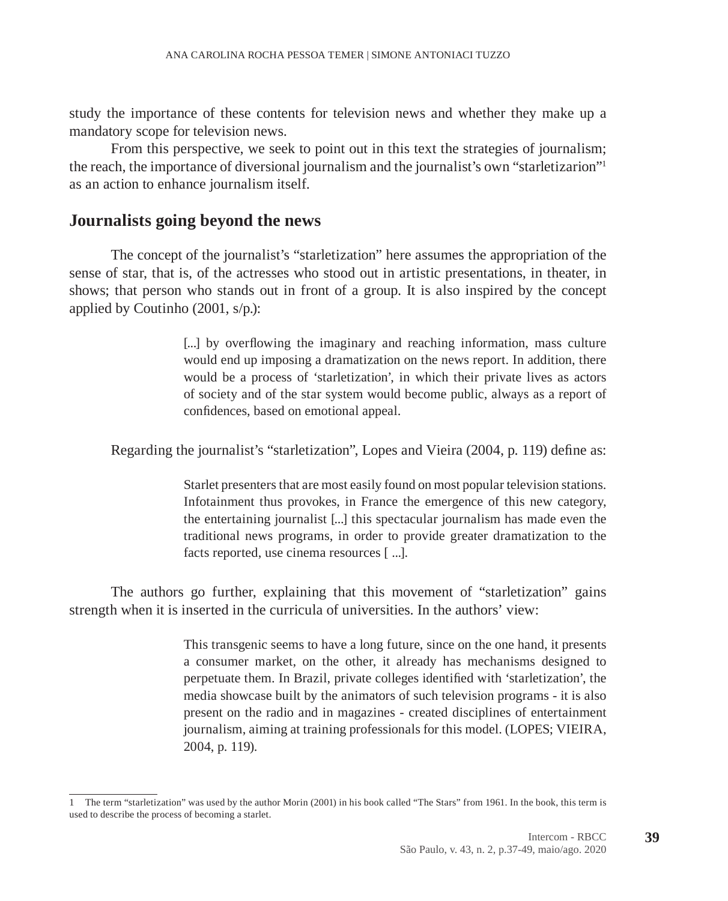study the importance of these contents for television news and whether they make up a mandatory scope for television news.

From this perspective, we seek to point out in this text the strategies of journalism; the reach, the importance of diversional journalism and the journalist's own "starletizarion"<sup>1</sup> as an action to enhance journalism itself.

## **Journalists going beyond the news**

The concept of the journalist's "starletization" here assumes the appropriation of the sense of star, that is, of the actresses who stood out in artistic presentations, in theater, in shows; that person who stands out in front of a group. It is also inspired by the concept applied by Coutinho (2001, s/p.):

> [...] by overflowing the imaginary and reaching information, mass culture would end up imposing a dramatization on the news report. In addition, there would be a process of 'starletization', in which their private lives as actors of society and of the star system would become public, always as a report of confidences, based on emotional appeal.

Regarding the journalist's "starletization", Lopes and Vieira (2004, p. 119) define as:

Starlet presenters that are most easily found on most popular television stations. Infotainment thus provokes, in France the emergence of this new category, the entertaining journalist [...] this spectacular journalism has made even the traditional news programs, in order to provide greater dramatization to the facts reported, use cinema resources [ ...].

The authors go further, explaining that this movement of "starletization" gains strength when it is inserted in the curricula of universities. In the authors' view:

> This transgenic seems to have a long future, since on the one hand, it presents a consumer market, on the other, it already has mechanisms designed to perpetuate them. In Brazil, private colleges identified with 'starletization', the media showcase built by the animators of such television programs - it is also present on the radio and in magazines - created disciplines of entertainment journalism, aiming at training professionals for this model. (LOPES; VIEIRA, 2004, p. 119).

<sup>1</sup> The term "starletization" was used by the author Morin (2001) in his book called "The Stars" from 1961. In the book, this term is used to describe the process of becoming a starlet.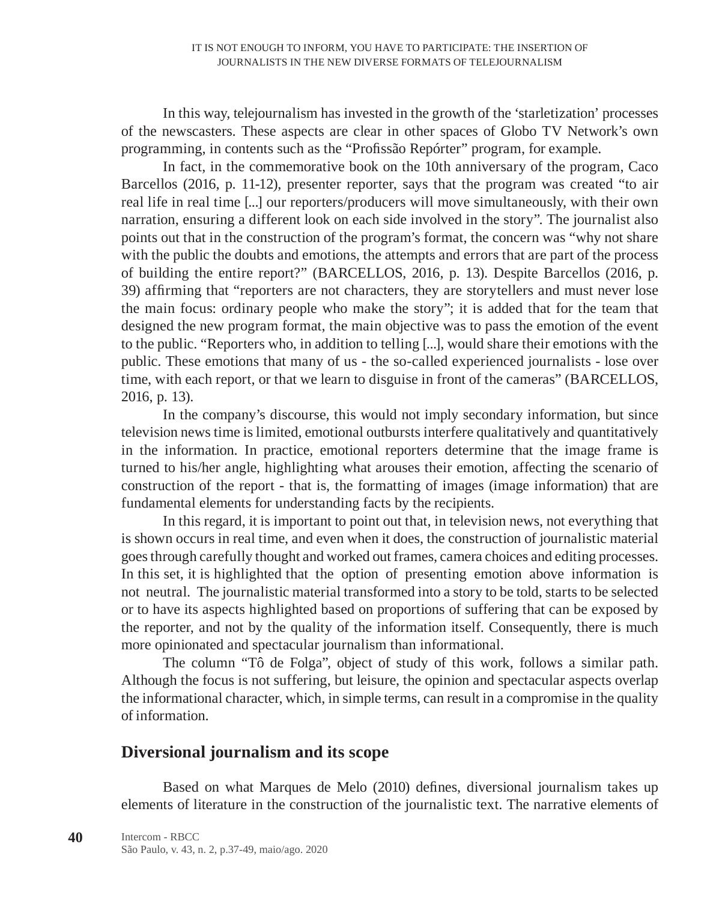In this way, telejournalism has invested in the growth of the 'starletization' processes of the newscasters. These aspects are clear in other spaces of Globo TV Network's own programming, in contents such as the "Profissão Repórter" program, for example.

In fact, in the commemorative book on the 10th anniversary of the program, Caco Barcellos (2016, p. 11-12), presenter reporter, says that the program was created "to air real life in real time [...] our reporters/producers will move simultaneously, with their own narration, ensuring a different look on each side involved in the story". The journalist also points out that in the construction of the program's format, the concern was "why not share with the public the doubts and emotions, the attempts and errors that are part of the process of building the entire report?" (BARCELLOS, 2016, p. 13). Despite Barcellos (2016, p. 39) affirming that "reporters are not characters, they are storytellers and must never lose the main focus: ordinary people who make the story"; it is added that for the team that designed the new program format, the main objective was to pass the emotion of the event to the public. "Reporters who, in addition to telling [...], would share their emotions with the public. These emotions that many of us - the so-called experienced journalists - lose over time, with each report, or that we learn to disguise in front of the cameras" (BARCELLOS, 2016, p. 13).

In the company's discourse, this would not imply secondary information, but since television news time is limited, emotional outbursts interfere qualitatively and quantitatively in the information. In practice, emotional reporters determine that the image frame is turned to his/her angle, highlighting what arouses their emotion, affecting the scenario of construction of the report - that is, the formatting of images (image information) that are fundamental elements for understanding facts by the recipients.

In this regard, it is important to point out that, in television news, not everything that is shown occurs in real time, and even when it does, the construction of journalistic material goes through carefully thought and worked out frames, camera choices and editing processes. In this set, it is highlighted that the option of presenting emotion above information is not neutral. The journalistic material transformed into a story to be told, starts to be selected or to have its aspects highlighted based on proportions of suffering that can be exposed by the reporter, and not by the quality of the information itself. Consequently, there is much more opinionated and spectacular journalism than informational.

The column "Tô de Folga", object of study of this work, follows a similar path. Although the focus is not suffering, but leisure, the opinion and spectacular aspects overlap the informational character, which, in simple terms, can result in a compromise in the quality of information.

## **Diversional journalism and its scope**

Based on what Marques de Melo (2010) defines, diversional journalism takes up elements of literature in the construction of the journalistic text. The narrative elements of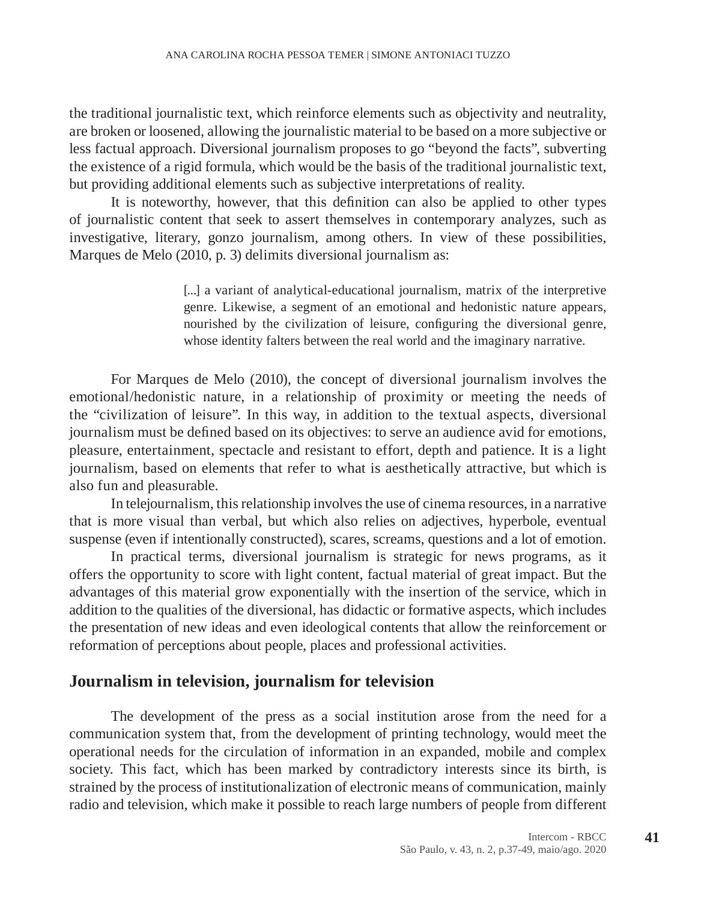the traditional journalistic text, which reinforce elements such as objectivity and neutrality, are broken or loosened, allowing the journalistic material to be based on a more subjective or less factual approach. Diversional journalism proposes to go "beyond the facts", subverting the existence of a rigid formula, which would be the basis of the traditional journalistic text, but providing additional elements such as subjective interpretations of reality.

It is noteworthy, however, that this definition can also be applied to other types of journalistic content that seek to assert themselves in contemporary analyzes, such as investigative, literary, gonzo journalism, among others. In view of these possibilities, Marques de Melo (2010, p. 3) delimits diversional journalism as:

> [...] a variant of analytical-educational journalism, matrix of the interpretive genre. Likewise, a segment of an emotional and hedonistic nature appears, nourished by the civilization of leisure, configuring the diversional genre, whose identity falters between the real world and the imaginary narrative.

For Marques de Melo (2010), the concept of diversional journalism involves the emotional/hedonistic nature, in a relationship of proximity or meeting the needs of the "civilization of leisure". In this way, in addition to the textual aspects, diversional journalism must be defined based on its objectives: to serve an audience avid for emotions, pleasure, entertainment, spectacle and resistant to effort, depth and patience. It is a light journalism, based on elements that refer to what is aesthetically attractive, but which is also fun and pleasurable.

In telejournalism, this relationship involves the use of cinema resources, in a narrative that is more visual than verbal, but which also relies on adjectives, hyperbole, eventual suspense (even if intentionally constructed), scares, screams, questions and a lot of emotion.

In practical terms, diversional journalism is strategic for news programs, as it offers the opportunity to score with light content, factual material of great impact. But the advantages of this material grow exponentially with the insertion of the service, which in addition to the qualities of the diversional, has didactic or formative aspects, which includes the presentation of new ideas and even ideological contents that allow the reinforcement or reformation of perceptions about people, places and professional activities.

## **Journalism in television, journalism for television**

The development of the press as a social institution arose from the need for a communication system that, from the development of printing technology, would meet the operational needs for the circulation of information in an expanded, mobile and complex society. This fact, which has been marked by contradictory interests since its birth, is strained by the process of institutionalization of electronic means of communication, mainly radio and television, which make it possible to reach large numbers of people from different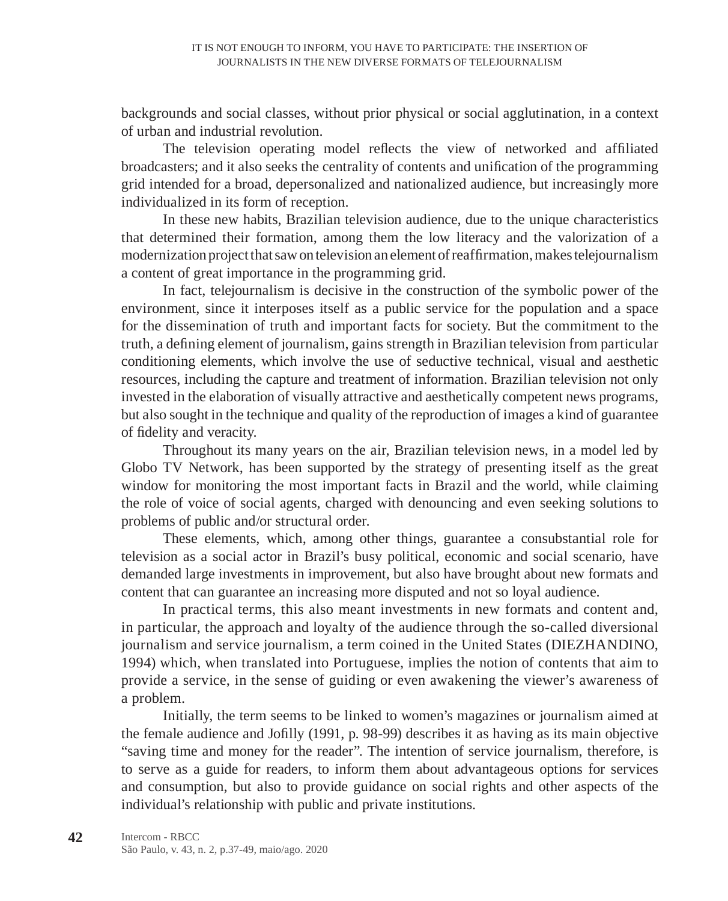backgrounds and social classes, without prior physical or social agglutination, in a context of urban and industrial revolution.

The television operating model reflects the view of networked and affiliated broadcasters; and it also seeks the centrality of contents and unification of the programming grid intended for a broad, depersonalized and nationalized audience, but increasingly more individualized in its form of reception.

In these new habits, Brazilian television audience, due to the unique characteristics that determined their formation, among them the low literacy and the valorization of a modernization project that saw on television an element of reaffirmation, makes telejournalism a content of great importance in the programming grid.

In fact, telejournalism is decisive in the construction of the symbolic power of the environment, since it interposes itself as a public service for the population and a space for the dissemination of truth and important facts for society. But the commitment to the truth, a defining element of journalism, gains strength in Brazilian television from particular conditioning elements, which involve the use of seductive technical, visual and aesthetic resources, including the capture and treatment of information. Brazilian television not only invested in the elaboration of visually attractive and aesthetically competent news programs, but also sought in the technique and quality of the reproduction of images a kind of guarantee of fidelity and veracity.

Throughout its many years on the air, Brazilian television news, in a model led by Globo TV Network, has been supported by the strategy of presenting itself as the great window for monitoring the most important facts in Brazil and the world, while claiming the role of voice of social agents, charged with denouncing and even seeking solutions to problems of public and/or structural order.

These elements, which, among other things, guarantee a consubstantial role for television as a social actor in Brazil's busy political, economic and social scenario, have demanded large investments in improvement, but also have brought about new formats and content that can guarantee an increasing more disputed and not so loyal audience.

In practical terms, this also meant investments in new formats and content and, in particular, the approach and loyalty of the audience through the so-called diversional journalism and service journalism, a term coined in the United States (DIEZHANDINO, 1994) which, when translated into Portuguese, implies the notion of contents that aim to provide a service, in the sense of guiding or even awakening the viewer's awareness of a problem.

Initially, the term seems to be linked to women's magazines or journalism aimed at the female audience and Jofilly (1991, p. 98-99) describes it as having as its main objective "saving time and money for the reader". The intention of service journalism, therefore, is to serve as a guide for readers, to inform them about advantageous options for services and consumption, but also to provide guidance on social rights and other aspects of the individual's relationship with public and private institutions.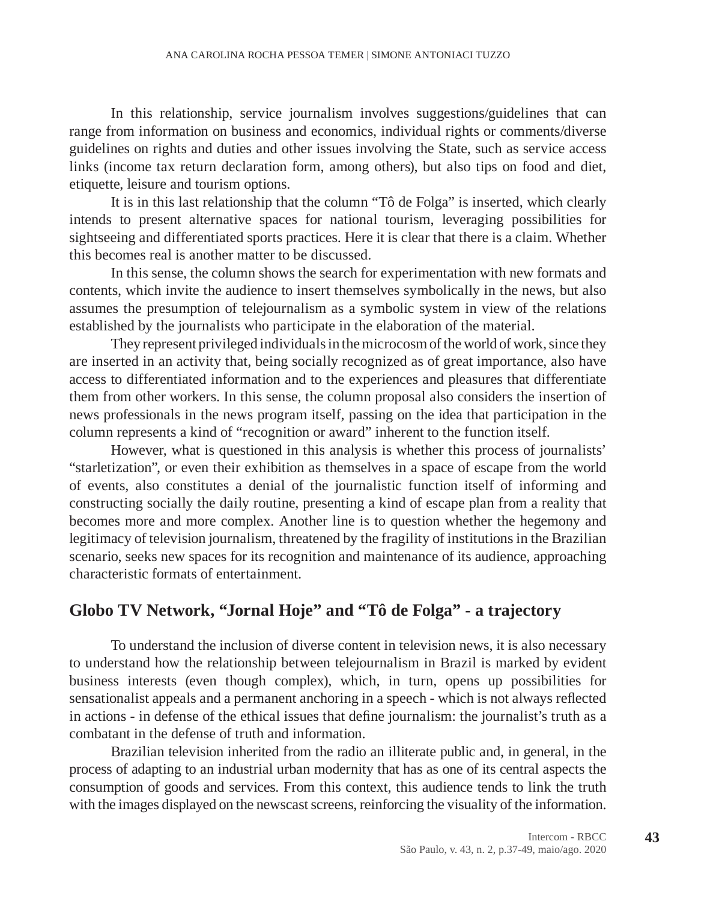In this relationship, service journalism involves suggestions/guidelines that can range from information on business and economics, individual rights or comments/diverse guidelines on rights and duties and other issues involving the State, such as service access links (income tax return declaration form, among others), but also tips on food and diet, etiquette, leisure and tourism options.

It is in this last relationship that the column "Tô de Folga" is inserted, which clearly intends to present alternative spaces for national tourism, leveraging possibilities for sightseeing and differentiated sports practices. Here it is clear that there is a claim. Whether this becomes real is another matter to be discussed.

In this sense, the column shows the search for experimentation with new formats and contents, which invite the audience to insert themselves symbolically in the news, but also assumes the presumption of telejournalism as a symbolic system in view of the relations established by the journalists who participate in the elaboration of the material.

They represent privileged individuals in the microcosm of the world of work, since they are inserted in an activity that, being socially recognized as of great importance, also have access to differentiated information and to the experiences and pleasures that differentiate them from other workers. In this sense, the column proposal also considers the insertion of news professionals in the news program itself, passing on the idea that participation in the column represents a kind of "recognition or award" inherent to the function itself.

However, what is questioned in this analysis is whether this process of journalists' "starletization", or even their exhibition as themselves in a space of escape from the world of events, also constitutes a denial of the journalistic function itself of informing and constructing socially the daily routine, presenting a kind of escape plan from a reality that becomes more and more complex. Another line is to question whether the hegemony and legitimacy of television journalism, threatened by the fragility of institutions in the Brazilian scenario, seeks new spaces for its recognition and maintenance of its audience, approaching characteristic formats of entertainment.

# **Globo TV Network, "Jornal Hoje" and "Tô de Folga" - a trajectory**

To understand the inclusion of diverse content in television news, it is also necessary to understand how the relationship between telejournalism in Brazil is marked by evident business interests (even though complex), which, in turn, opens up possibilities for sensationalist appeals and a permanent anchoring in a speech - which is not always reflected in actions - in defense of the ethical issues that define journalism: the journalist's truth as a combatant in the defense of truth and information.

Brazilian television inherited from the radio an illiterate public and, in general, in the process of adapting to an industrial urban modernity that has as one of its central aspects the consumption of goods and services. From this context, this audience tends to link the truth with the images displayed on the newscast screens, reinforcing the visuality of the information.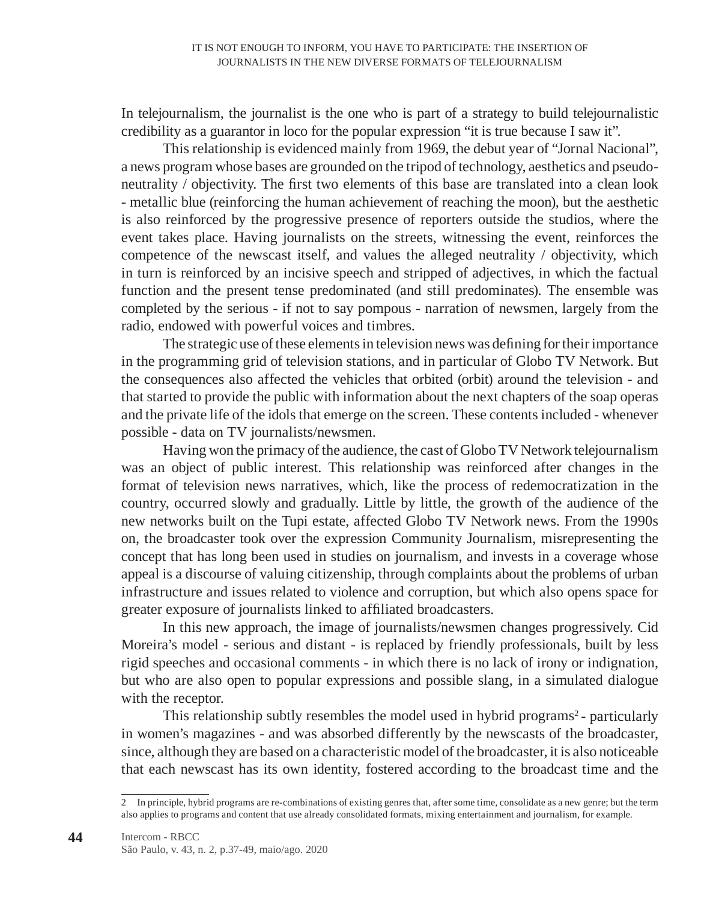In telejournalism, the journalist is the one who is part of a strategy to build telejournalistic credibility as a guarantor in loco for the popular expression "it is true because I saw it".

This relationship is evidenced mainly from 1969, the debut year of "Jornal Nacional", a news program whose bases are grounded on the tripod of technology, aesthetics and pseudoneutrality / objectivity. The first two elements of this base are translated into a clean look - metallic blue (reinforcing the human achievement of reaching the moon), but the aesthetic is also reinforced by the progressive presence of reporters outside the studios, where the event takes place. Having journalists on the streets, witnessing the event, reinforces the competence of the newscast itself, and values the alleged neutrality / objectivity, which in turn is reinforced by an incisive speech and stripped of adjectives, in which the factual function and the present tense predominated (and still predominates). The ensemble was completed by the serious - if not to say pompous - narration of newsmen, largely from the radio, endowed with powerful voices and timbres.

The strategic use of these elements in television news was defining for their importance in the programming grid of television stations, and in particular of Globo TV Network. But the consequences also affected the vehicles that orbited (orbit) around the television - and that started to provide the public with information about the next chapters of the soap operas and the private life of the idols that emerge on the screen. These contents included - whenever possible - data on TV journalists/newsmen.

Having won the primacy of the audience, the cast of Globo TV Network telejournalism was an object of public interest. This relationship was reinforced after changes in the format of television news narratives, which, like the process of redemocratization in the country, occurred slowly and gradually. Little by little, the growth of the audience of the new networks built on the Tupi estate, affected Globo TV Network news. From the 1990s on, the broadcaster took over the expression Community Journalism, misrepresenting the concept that has long been used in studies on journalism, and invests in a coverage whose appeal is a discourse of valuing citizenship, through complaints about the problems of urban infrastructure and issues related to violence and corruption, but which also opens space for greater exposure of journalists linked to affiliated broadcasters.

In this new approach, the image of journalists/newsmen changes progressively. Cid Moreira's model - serious and distant - is replaced by friendly professionals, built by less rigid speeches and occasional comments - in which there is no lack of irony or indignation, but who are also open to popular expressions and possible slang, in a simulated dialogue with the receptor.

This relationship subtly resembles the model used in hybrid programs<sup>2</sup> - particularly in women's magazines - and was absorbed differently by the newscasts of the broadcaster, since, although they are based on a characteristic model of the broadcaster, it is also noticeable that each newscast has its own identity, fostered according to the broadcast time and the

<sup>2</sup> In principle, hybrid programs are re-combinations of existing genres that, after some time, consolidate as a new genre; but the term also applies to programs and content that use already consolidated formats, mixing entertainment and journalism, for example.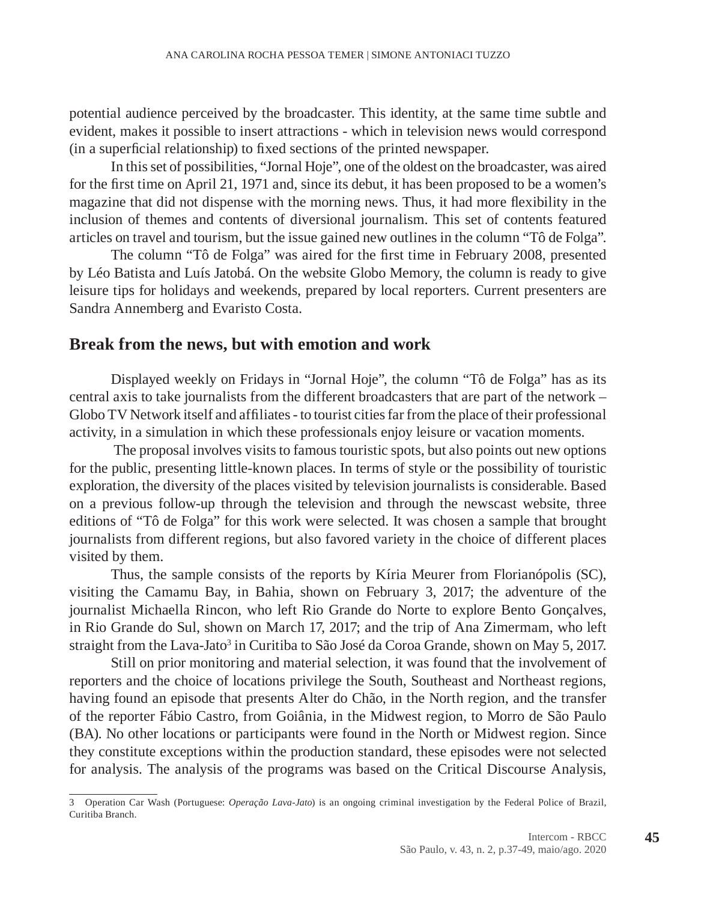potential audience perceived by the broadcaster. This identity, at the same time subtle and evident, makes it possible to insert attractions - which in television news would correspond (in a superficial relationship) to fixed sections of the printed newspaper.

In this set of possibilities, "Jornal Hoje", one of the oldest on the broadcaster, was aired for the first time on April 21, 1971 and, since its debut, it has been proposed to be a women's magazine that did not dispense with the morning news. Thus, it had more flexibility in the inclusion of themes and contents of diversional journalism. This set of contents featured articles on travel and tourism, but the issue gained new outlines in the column "Tô de Folga".

The column "Tô de Folga" was aired for the first time in February 2008, presented by Léo Batista and Luís Jatobá. On the website Globo Memory, the column is ready to give leisure tips for holidays and weekends, prepared by local reporters. Current presenters are Sandra Annemberg and Evaristo Costa.

## **Break from the news, but with emotion and work**

Displayed weekly on Fridays in "Jornal Hoje", the column "Tô de Folga" has as its central axis to take journalists from the different broadcasters that are part of the network – Globo TV Network itself and affiliates - to tourist cities far from the place of their professional activity, in a simulation in which these professionals enjoy leisure or vacation moments.

 The proposal involves visits to famous touristic spots, but also points out new options for the public, presenting little-known places. In terms of style or the possibility of touristic exploration, the diversity of the places visited by television journalists is considerable. Based on a previous follow-up through the television and through the newscast website, three editions of "Tô de Folga" for this work were selected. It was chosen a sample that brought journalists from different regions, but also favored variety in the choice of different places visited by them.

Thus, the sample consists of the reports by Kíria Meurer from Florianópolis (SC), visiting the Camamu Bay, in Bahia, shown on February 3, 2017; the adventure of the journalist Michaella Rincon, who left Rio Grande do Norte to explore Bento Gonçalves, in Rio Grande do Sul, shown on March 17, 2017; and the trip of Ana Zimermam, who left straight from the Lava-Jato<sup>3</sup> in Curitiba to São José da Coroa Grande, shown on May 5, 2017.

Still on prior monitoring and material selection, it was found that the involvement of reporters and the choice of locations privilege the South, Southeast and Northeast regions, having found an episode that presents Alter do Chão, in the North region, and the transfer of the reporter Fábio Castro, from Goiânia, in the Midwest region, to Morro de São Paulo (BA). No other locations or participants were found in the North or Midwest region. Since they constitute exceptions within the production standard, these episodes were not selected for analysis. The analysis of the programs was based on the Critical Discourse Analysis,

<sup>3</sup> Operation Car Wash (Portuguese: *Operação Lava-Jato*) is an ongoing criminal investigation by the Federal Police of Brazil, Curitiba Branch.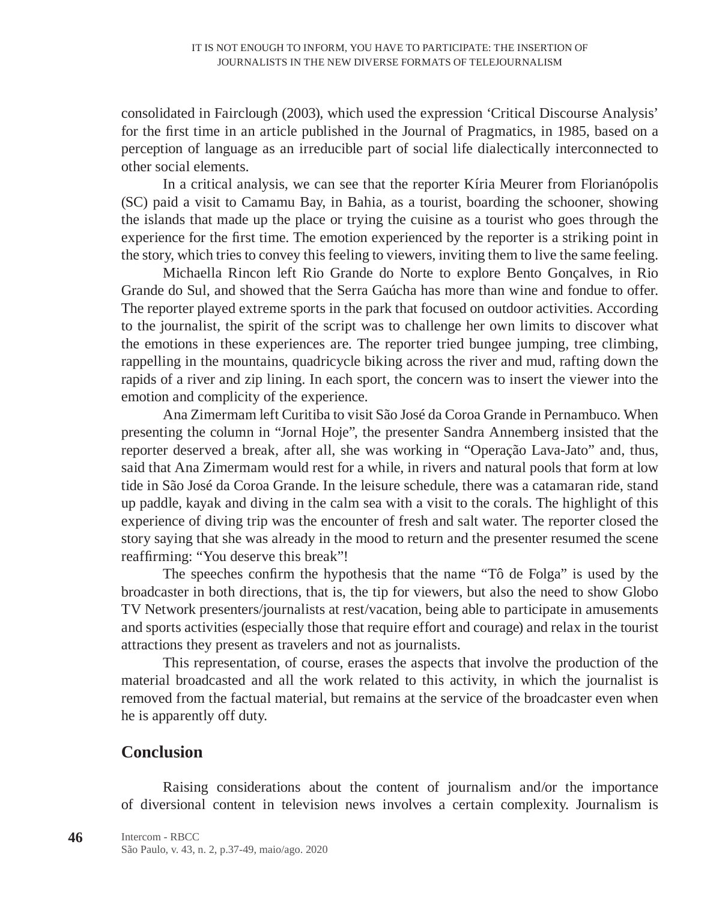consolidated in Fairclough (2003), which used the expression 'Critical Discourse Analysis' for the first time in an article published in the Journal of Pragmatics, in 1985, based on a perception of language as an irreducible part of social life dialectically interconnected to other social elements.

In a critical analysis, we can see that the reporter Kíria Meurer from Florianópolis (SC) paid a visit to Camamu Bay, in Bahia, as a tourist, boarding the schooner, showing the islands that made up the place or trying the cuisine as a tourist who goes through the experience for the first time. The emotion experienced by the reporter is a striking point in the story, which tries to convey this feeling to viewers, inviting them to live the same feeling.

Michaella Rincon left Rio Grande do Norte to explore Bento Gonçalves, in Rio Grande do Sul, and showed that the Serra Gaúcha has more than wine and fondue to offer. The reporter played extreme sports in the park that focused on outdoor activities. According to the journalist, the spirit of the script was to challenge her own limits to discover what the emotions in these experiences are. The reporter tried bungee jumping, tree climbing, rappelling in the mountains, quadricycle biking across the river and mud, rafting down the rapids of a river and zip lining. In each sport, the concern was to insert the viewer into the emotion and complicity of the experience.

Ana Zimermam left Curitiba to visit São José da Coroa Grande in Pernambuco. When presenting the column in "Jornal Hoje", the presenter Sandra Annemberg insisted that the reporter deserved a break, after all, she was working in "Operação Lava-Jato" and, thus, said that Ana Zimermam would rest for a while, in rivers and natural pools that form at low tide in São José da Coroa Grande. In the leisure schedule, there was a catamaran ride, stand up paddle, kayak and diving in the calm sea with a visit to the corals. The highlight of this experience of diving trip was the encounter of fresh and salt water. The reporter closed the story saying that she was already in the mood to return and the presenter resumed the scene reaffirming: "You deserve this break"!

The speeches confirm the hypothesis that the name "Tô de Folga" is used by the broadcaster in both directions, that is, the tip for viewers, but also the need to show Globo TV Network presenters/journalists at rest/vacation, being able to participate in amusements and sports activities (especially those that require effort and courage) and relax in the tourist attractions they present as travelers and not as journalists.

This representation, of course, erases the aspects that involve the production of the material broadcasted and all the work related to this activity, in which the journalist is removed from the factual material, but remains at the service of the broadcaster even when he is apparently off duty.

## **Conclusion**

Raising considerations about the content of journalism and/or the importance of diversional content in television news involves a certain complexity. Journalism is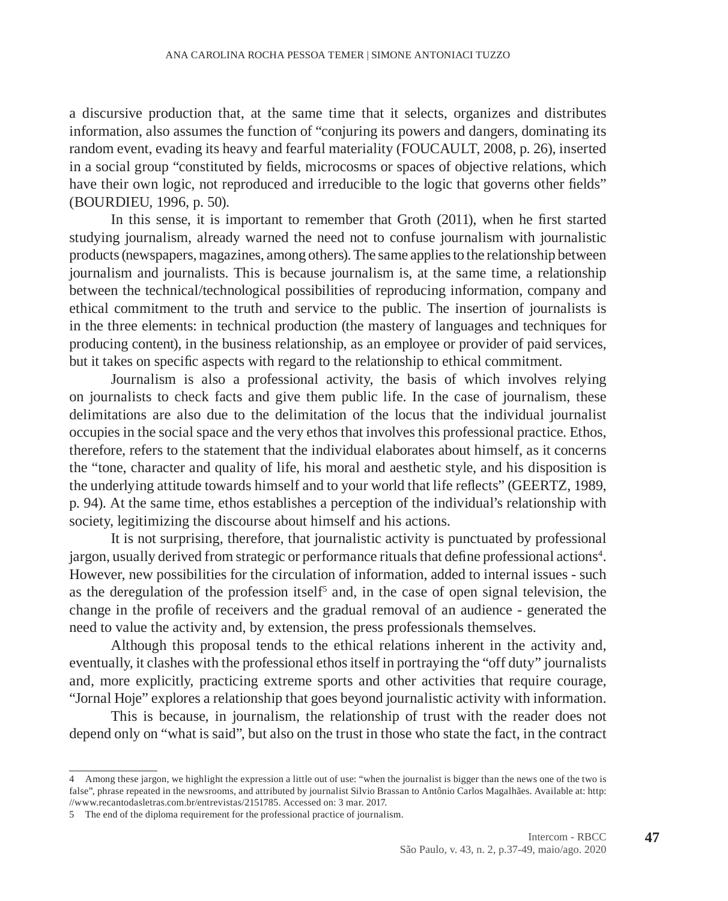a discursive production that, at the same time that it selects, organizes and distributes information, also assumes the function of "conjuring its powers and dangers, dominating its random event, evading its heavy and fearful materiality (FOUCAULT, 2008, p. 26), inserted in a social group "constituted by fields, microcosms or spaces of objective relations, which have their own logic, not reproduced and irreducible to the logic that governs other fields" (BOURDIEU, 1996, p. 50).

In this sense, it is important to remember that Groth (2011), when he first started studying journalism, already warned the need not to confuse journalism with journalistic products (newspapers, magazines, among others). The same applies to the relationship between journalism and journalists. This is because journalism is, at the same time, a relationship between the technical/technological possibilities of reproducing information, company and ethical commitment to the truth and service to the public. The insertion of journalists is in the three elements: in technical production (the mastery of languages and techniques for producing content), in the business relationship, as an employee or provider of paid services, but it takes on specific aspects with regard to the relationship to ethical commitment.

Journalism is also a professional activity, the basis of which involves relying on journalists to check facts and give them public life. In the case of journalism, these delimitations are also due to the delimitation of the locus that the individual journalist occupies in the social space and the very ethos that involves this professional practice. Ethos, therefore, refers to the statement that the individual elaborates about himself, as it concerns the "tone, character and quality of life, his moral and aesthetic style, and his disposition is the underlying attitude towards himself and to your world that life reflects" (GEERTZ, 1989, p. 94). At the same time, ethos establishes a perception of the individual's relationship with society, legitimizing the discourse about himself and his actions.

It is not surprising, therefore, that journalistic activity is punctuated by professional jargon, usually derived from strategic or performance rituals that define professional actions $^{\rm 4}$ . However, new possibilities for the circulation of information, added to internal issues - such as the deregulation of the profession itself<sup>5</sup> and, in the case of open signal television, the change in the profile of receivers and the gradual removal of an audience - generated the need to value the activity and, by extension, the press professionals themselves.

Although this proposal tends to the ethical relations inherent in the activity and, eventually, it clashes with the professional ethos itself in portraying the "off duty" journalists and, more explicitly, practicing extreme sports and other activities that require courage, "Jornal Hoje" explores a relationship that goes beyond journalistic activity with information.

This is because, in journalism, the relationship of trust with the reader does not depend only on "what is said", but also on the trust in those who state the fact, in the contract

<sup>4</sup> Among these jargon, we highlight the expression a little out of use: "when the journalist is bigger than the news one of the two is false", phrase repeated in the newsrooms, and attributed by journalist Silvio Brassan to Antônio Carlos Magalhães. Available at: http: //www.recantodasletras.com.br/entrevistas/2151785. Accessed on: 3 mar. 2017.

<sup>5</sup> The end of the diploma requirement for the professional practice of journalism.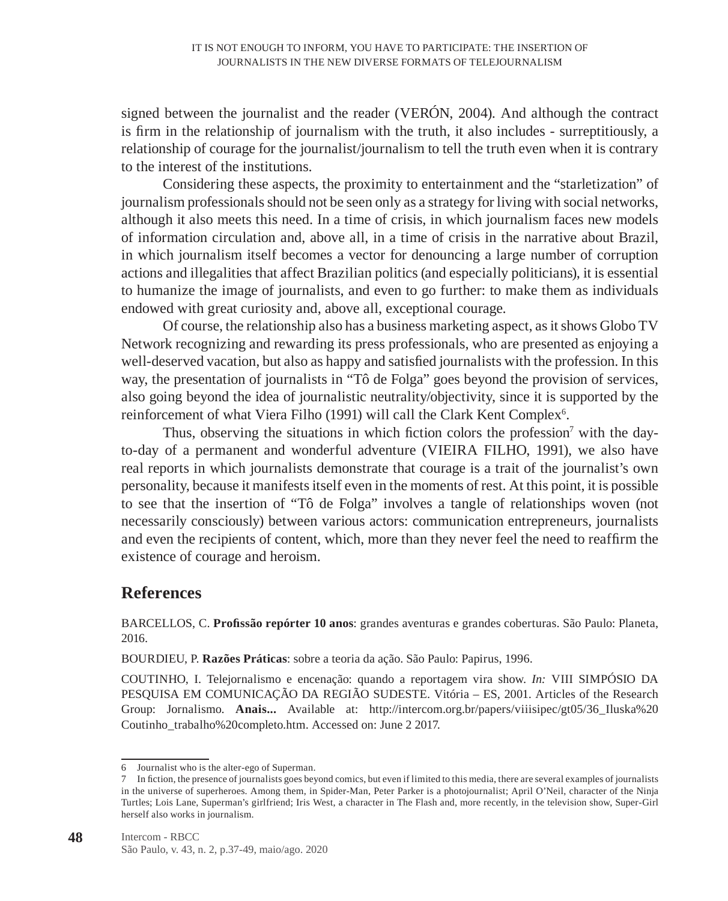signed between the journalist and the reader (VERÓN, 2004). And although the contract is firm in the relationship of journalism with the truth, it also includes - surreptitiously, a relationship of courage for the journalist/journalism to tell the truth even when it is contrary to the interest of the institutions.

Considering these aspects, the proximity to entertainment and the "starletization" of journalism professionals should not be seen only as a strategy for living with social networks, although it also meets this need. In a time of crisis, in which journalism faces new models of information circulation and, above all, in a time of crisis in the narrative about Brazil, in which journalism itself becomes a vector for denouncing a large number of corruption actions and illegalities that affect Brazilian politics (and especially politicians), it is essential to humanize the image of journalists, and even to go further: to make them as individuals endowed with great curiosity and, above all, exceptional courage.

Of course, the relationship also has a business marketing aspect, as it shows Globo TV Network recognizing and rewarding its press professionals, who are presented as enjoying a well-deserved vacation, but also as happy and satisfied journalists with the profession. In this way, the presentation of journalists in "Tô de Folga" goes beyond the provision of services, also going beyond the idea of journalistic neutrality/objectivity, since it is supported by the reinforcement of what Viera Filho (1991) will call the Clark Kent Complex $^6$ .

Thus, observing the situations in which fiction colors the profession<sup>7</sup> with the dayto-day of a permanent and wonderful adventure (VIEIRA FILHO, 1991), we also have real reports in which journalists demonstrate that courage is a trait of the journalist's own personality, because it manifests itself even in the moments of rest. At this point, it is possible to see that the insertion of "Tô de Folga" involves a tangle of relationships woven (not necessarily consciously) between various actors: communication entrepreneurs, journalists and even the recipients of content, which, more than they never feel the need to reaffirm the existence of courage and heroism.

# **References**

BARCELLOS, C. **Profissão repórter 10 anos**: grandes aventuras e grandes coberturas. São Paulo: Planeta, 2016.

BOURDIEU, P. **Razões Práticas**: sobre a teoria da ação. São Paulo: Papirus, 1996.

COUTINHO, I. Telejornalismo e encenação: quando a reportagem vira show. *In:* VIII SIMPÓSIO DA PESQUISA EM COMUNICAÇÃO DA REGIÃO SUDESTE. Vitória – ES, 2001. Articles of the Research Group: Jornalismo. **Anais...** Available at: http://intercom.org.br/papers/viiisipec/gt05/36\_Iluska%20 Coutinho\_trabalho%20completo.htm. Accessed on: June 2 2017.

<sup>6</sup> Journalist who is the alter-ego of Superman.

<sup>7</sup> In fiction, the presence of journalists goes beyond comics, but even if limited to this media, there are several examples of journalists in the universe of superheroes. Among them, in Spider-Man, Peter Parker is a photojournalist; April O'Neil, character of the Ninja Turtles; Lois Lane, Superman's girlfriend; Iris West, a character in The Flash and, more recently, in the television show, Super-Girl herself also works in journalism.